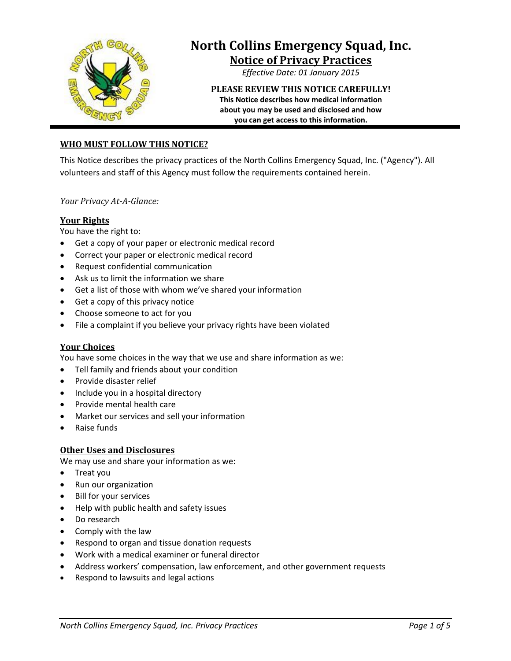

# **North Collins Emergency Squad, Inc. Notice of Privacy Practices**

*Effective Date: 01 January 2015*

**PLEASE REVIEW THIS NOTICE CAREFULLY! This Notice describes how medical information about you may be used and disclosed and how you can get access to this information.**

# **WHO MUST FOLLOW THIS NOTICE?**

This Notice describes the privacy practices of the North Collins Emergency Squad, Inc. ("Agency"). All volunteers and staff of this Agency must follow the requirements contained herein.

*Your Privacy At-A-Glance:*

### **Your Rights**

You have the right to:

- Get a copy of your paper or electronic medical record
- Correct your paper or electronic medical record
- Request confidential communication
- Ask us to limit the information we share
- Get a list of those with whom we've shared your information
- Get a copy of this privacy notice
- Choose someone to act for you
- File a complaint if you believe your privacy rights have been violated

### **Your Choices**

You have some choices in the way that we use and share information as we:

- Tell family and friends about your condition
- Provide disaster relief
- Include you in a hospital directory
- Provide mental health care
- Market our services and sell your information
- Raise funds

### **Other Uses and Disclosures**

We may use and share your information as we:

- Treat you
- Run our organization
- Bill for your services
- Help with public health and safety issues
- Do research
- Comply with the law
- Respond to organ and tissue donation requests
- Work with a medical examiner or funeral director
- Address workers' compensation, law enforcement, and other government requests
- Respond to lawsuits and legal actions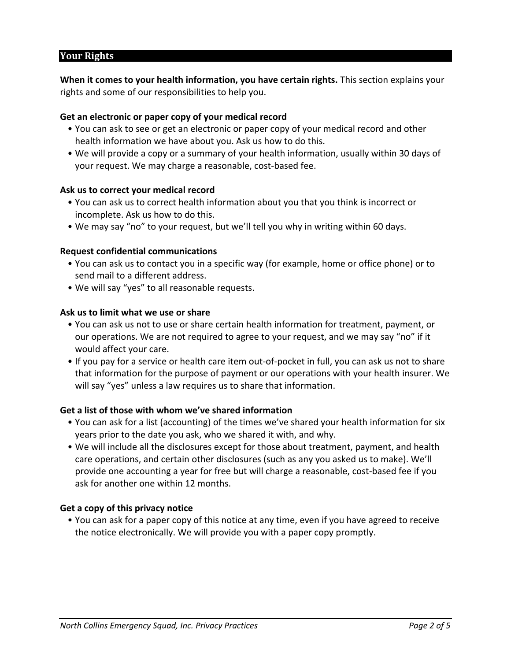# **Your Rights**

**When it comes to your health information, you have certain rights.** This section explains your rights and some of our responsibilities to help you.

# **Get an electronic or paper copy of your medical record**

- You can ask to see or get an electronic or paper copy of your medical record and other health information we have about you. Ask us how to do this.
- We will provide a copy or a summary of your health information, usually within 30 days of your request. We may charge a reasonable, cost-based fee.

### **Ask us to correct your medical record**

- You can ask us to correct health information about you that you think is incorrect or incomplete. Ask us how to do this.
- We may say "no" to your request, but we'll tell you why in writing within 60 days.

### **Request confidential communications**

- You can ask us to contact you in a specific way (for example, home or office phone) or to send mail to a different address.
- We will say "yes" to all reasonable requests.

### **Ask us to limit what we use or share**

- You can ask us not to use or share certain health information for treatment, payment, or our operations. We are not required to agree to your request, and we may say "no" if it would affect your care.
- If you pay for a service or health care item out-of-pocket in full, you can ask us not to share that information for the purpose of payment or our operations with your health insurer. We will say "yes" unless a law requires us to share that information.

# **Get a list of those with whom we've shared information**

- You can ask for a list (accounting) of the times we've shared your health information for six years prior to the date you ask, who we shared it with, and why.
- We will include all the disclosures except for those about treatment, payment, and health care operations, and certain other disclosures (such as any you asked us to make). We'll provide one accounting a year for free but will charge a reasonable, cost-based fee if you ask for another one within 12 months.

# **Get a copy of this privacy notice**

• You can ask for a paper copy of this notice at any time, even if you have agreed to receive the notice electronically. We will provide you with a paper copy promptly.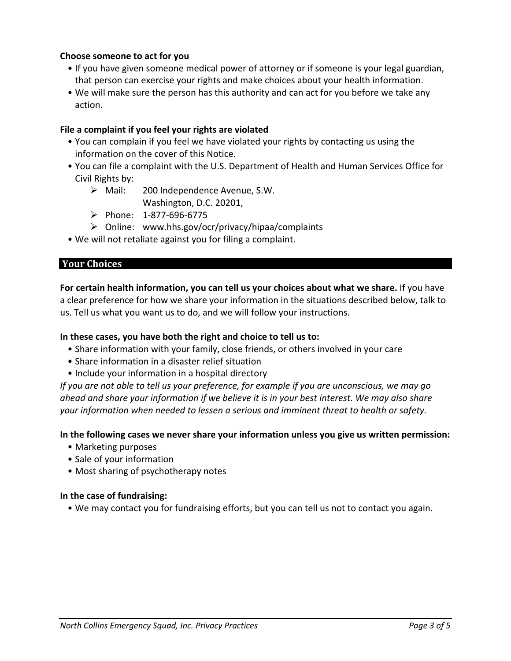# **Choose someone to act for you**

- If you have given someone medical power of attorney or if someone is your legal guardian, that person can exercise your rights and make choices about your health information.
- We will make sure the person has this authority and can act for you before we take any action.

# **File a complaint if you feel your rights are violated**

- You can complain if you feel we have violated your rights by contacting us using the information on the cover of this Notice.
- You can file a complaint with the U.S. Department of Health and Human Services Office for Civil Rights by:
	- ➢ Mail: 200 Independence Avenue, S.W. Washington, D.C. 20201,
	- ➢ Phone: 1-877-696-6775
	- ➢ Online: www.hhs.gov/ocr/privacy/hipaa/complaints
- We will not retaliate against you for filing a complaint.

# **Your Choices**

**For certain health information, you can tell us your choices about what we share.** If you have a clear preference for how we share your information in the situations described below, talk to us. Tell us what you want us to do, and we will follow your instructions.

# **In these cases, you have both the right and choice to tell us to:**

- Share information with your family, close friends, or others involved in your care
- Share information in a disaster relief situation
- Include your information in a hospital directory

*If you are not able to tell us your preference, for example if you are unconscious, we may go ahead and share your information if we believe it is in your best interest. We may also share your information when needed to lessen a serious and imminent threat to health or safety.*

# **In the following cases we never share your information unless you give us written permission:**

- Marketing purposes
- Sale of your information
- Most sharing of psychotherapy notes

# **In the case of fundraising:**

• We may contact you for fundraising efforts, but you can tell us not to contact you again.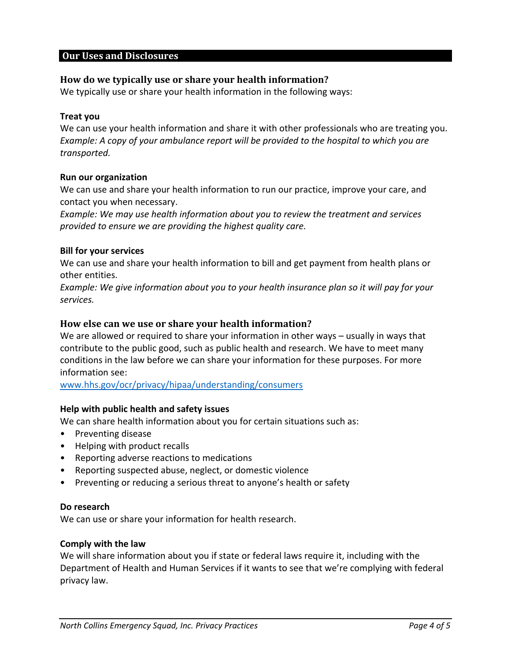# **Our Uses and Disclosures**

# **How do we typically use or share your health information?**

We typically use or share your health information in the following ways:

### **Treat you**

We can use your health information and share it with other professionals who are treating you. *Example: A copy of your ambulance report will be provided to the hospital to which you are transported.*

### **Run our organization**

We can use and share your health information to run our practice, improve your care, and contact you when necessary.

*Example: We may use health information about you to review the treatment and services provided to ensure we are providing the highest quality care.* 

### **Bill for your services**

We can use and share your health information to bill and get payment from health plans or other entities.

*Example: We give information about you to your health insurance plan so it will pay for your services.*

# **How else can we use or share your health information?**

We are allowed or required to share your information in other ways – usually in ways that contribute to the public good, such as public health and research. We have to meet many conditions in the law before we can share your information for these purposes. For more information see:

[www.hhs.gov/ocr/privacy/hipaa/understanding/consumers](http://www.hhs.gov/ocr/privacy/hipaa/understanding/consumers)

# **Help with public health and safety issues**

We can share health information about you for certain situations such as:

- Preventing disease
- Helping with product recalls
- Reporting adverse reactions to medications
- Reporting suspected abuse, neglect, or domestic violence
- Preventing or reducing a serious threat to anyone's health or safety

### **Do research**

We can use or share your information for health research.

### **Comply with the law**

We will share information about you if state or federal laws require it, including with the Department of Health and Human Services if it wants to see that we're complying with federal privacy law.